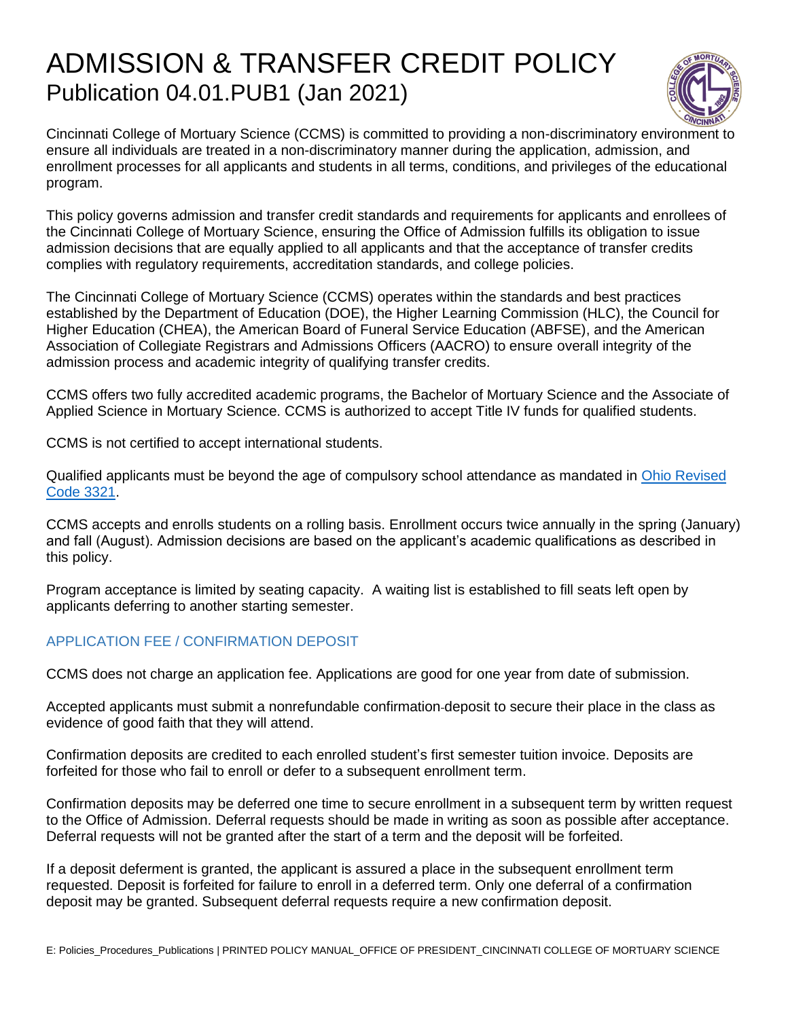# ADMISSION & TRANSFER CREDIT POLICY Publication 04.01.PUB1 (Jan 2021)



Cincinnati College of Mortuary Science (CCMS) is committed to providing a non-discriminatory environment to ensure all individuals are treated in a non-discriminatory manner during the application, admission, and enrollment processes for all applicants and students in all terms, conditions, and privileges of the educational program.

This policy governs admission and transfer credit standards and requirements for applicants and enrollees of the Cincinnati College of Mortuary Science, ensuring the Office of Admission fulfills its obligation to issue admission decisions that are equally applied to all applicants and that the acceptance of transfer credits complies with regulatory requirements, accreditation standards, and college policies.

The Cincinnati College of Mortuary Science (CCMS) operates within the standards and best practices established by the Department of Education (DOE), the Higher Learning Commission (HLC), the Council for Higher Education (CHEA), the American Board of Funeral Service Education (ABFSE), and the American Association of Collegiate Registrars and Admissions Officers (AACRO) to ensure overall integrity of the admission process and academic integrity of qualifying transfer credits.

CCMS offers two fully accredited academic programs, the Bachelor of Mortuary Science and the Associate of Applied Science in Mortuary Science. CCMS is authorized to accept Title IV funds for qualified students.

CCMS is not certified to accept international students.

Qualified applicants must be beyond the age of compulsory school attendance as mandated in [Ohio Revised](http://codes.ohio.gov/orc/3321)  [Code 3321.](http://codes.ohio.gov/orc/3321)

CCMS accepts and enrolls students on a rolling basis. Enrollment occurs twice annually in the spring (January) and fall (August). Admission decisions are based on the applicant's academic qualifications as described in this policy.

Program acceptance is limited by seating capacity. A waiting list is established to fill seats left open by applicants deferring to another starting semester.

## APPLICATION FEE / CONFIRMATION DEPOSIT

CCMS does not charge an application fee. Applications are good for one year from date of submission.

Accepted applicants must submit a nonrefundable confirmation deposit to secure their place in the class as evidence of good faith that they will attend.

Confirmation deposits are credited to each enrolled student's first semester tuition invoice. Deposits are forfeited for those who fail to enroll or defer to a subsequent enrollment term.

Confirmation deposits may be deferred one time to secure enrollment in a subsequent term by written request to the Office of Admission. Deferral requests should be made in writing as soon as possible after acceptance. Deferral requests will not be granted after the start of a term and the deposit will be forfeited.

If a deposit deferment is granted, the applicant is assured a place in the subsequent enrollment term requested. Deposit is forfeited for failure to enroll in a deferred term. Only one deferral of a confirmation deposit may be granted. Subsequent deferral requests require a new confirmation deposit.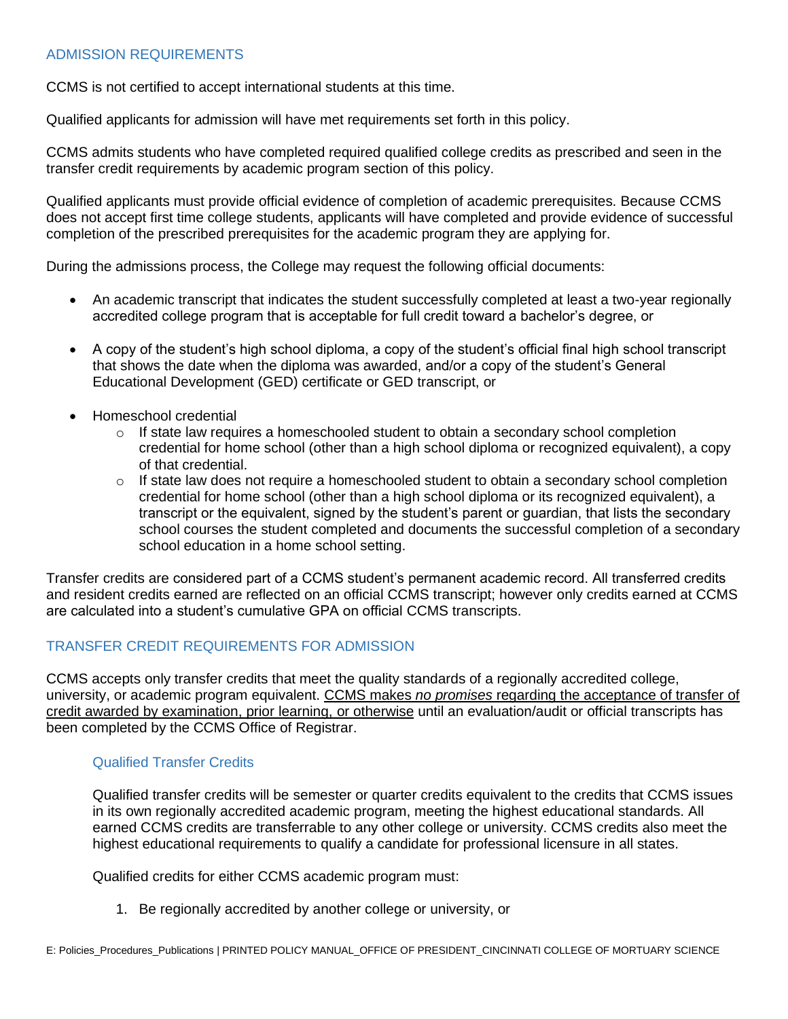## ADMISSION REQUIREMENTS

CCMS is not certified to accept international students at this time.

Qualified applicants for admission will have met requirements set forth in this policy.

CCMS admits students who have completed required qualified college credits as prescribed and seen in the transfer credit requirements by academic program section of this policy.

Qualified applicants must provide official evidence of completion of academic prerequisites. Because CCMS does not accept first time college students, applicants will have completed and provide evidence of successful completion of the prescribed prerequisites for the academic program they are applying for.

During the admissions process, the College may request the following official documents:

- An academic transcript that indicates the student successfully completed at least a two-year regionally accredited college program that is acceptable for full credit toward a bachelor's degree, or
- A copy of the student's high school diploma, a copy of the student's official final high school transcript that shows the date when the diploma was awarded, and/or a copy of the student's General Educational Development (GED) certificate or GED transcript, or
- Homeschool credential
	- $\circ$  If state law requires a homeschooled student to obtain a secondary school completion credential for home school (other than a high school diploma or recognized equivalent), a copy of that credential.
	- $\circ$  If state law does not require a homeschooled student to obtain a secondary school completion credential for home school (other than a high school diploma or its recognized equivalent), a transcript or the equivalent, signed by the student's parent or guardian, that lists the secondary school courses the student completed and documents the successful completion of a secondary school education in a home school setting.

Transfer credits are considered part of a CCMS student's permanent academic record. All transferred credits and resident credits earned are reflected on an official CCMS transcript; however only credits earned at CCMS are calculated into a student's cumulative GPA on official CCMS transcripts.

# TRANSFER CREDIT REQUIREMENTS FOR ADMISSION

CCMS accepts only transfer credits that meet the quality standards of a regionally accredited college, university, or academic program equivalent. CCMS makes *no promises* regarding the acceptance of transfer of credit awarded by examination, prior learning, or otherwise until an evaluation/audit or official transcripts has been completed by the CCMS Office of Registrar.

## Qualified Transfer Credits

Qualified transfer credits will be semester or quarter credits equivalent to the credits that CCMS issues in its own regionally accredited academic program, meeting the highest educational standards. All earned CCMS credits are transferrable to any other college or university. CCMS credits also meet the highest educational requirements to qualify a candidate for professional licensure in all states.

Qualified credits for either CCMS academic program must:

1. Be regionally accredited by another college or university, or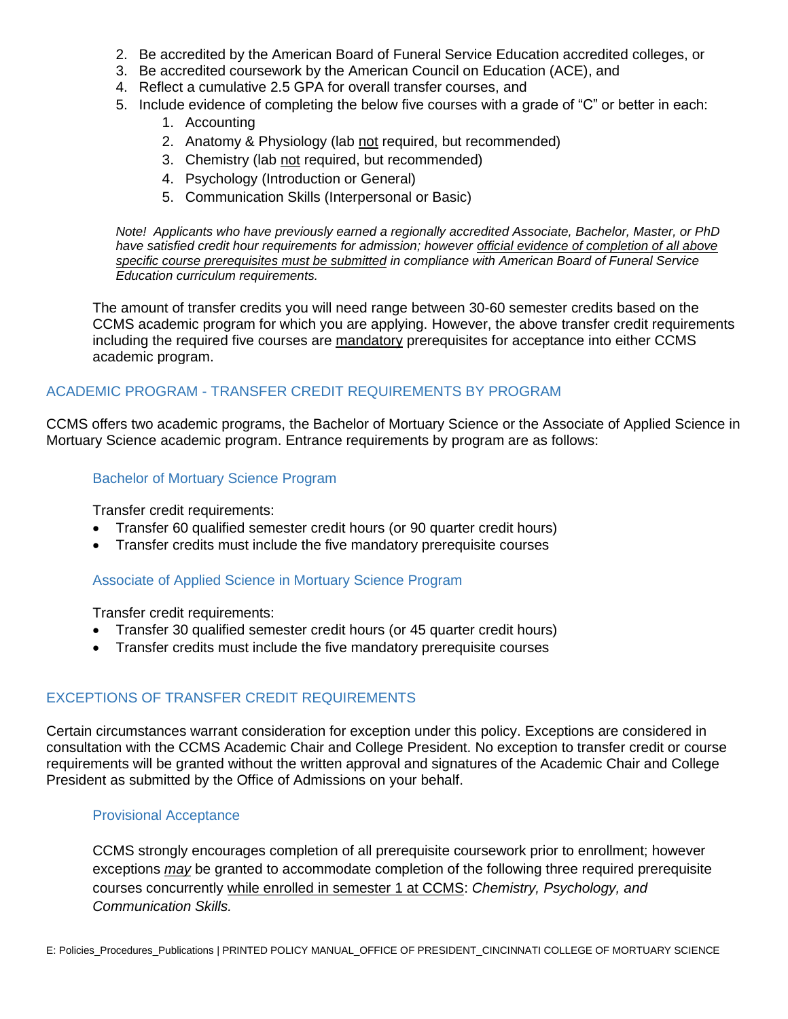- 2. Be accredited by the American Board of Funeral Service Education accredited colleges, or
- 3. Be accredited coursework by the American Council on Education (ACE), and
- 4. Reflect a cumulative 2.5 GPA for overall transfer courses, and
- 5. Include evidence of completing the below five courses with a grade of "C" or better in each:
	- 1. Accounting
	- 2. Anatomy & Physiology (lab not required, but recommended)
	- 3. Chemistry (lab not required, but recommended)
	- 4. Psychology (Introduction or General)
	- 5. Communication Skills (Interpersonal or Basic)

*Note! Applicants who have previously earned a regionally accredited Associate, Bachelor, Master, or PhD have satisfied credit hour requirements for admission; however official evidence of completion of all above specific course prerequisites must be submitted in compliance with American Board of Funeral Service Education curriculum requirements.*

The amount of transfer credits you will need range between 30-60 semester credits based on the CCMS academic program for which you are applying. However, the above transfer credit requirements including the required five courses are mandatory prerequisites for acceptance into either CCMS academic program.

## ACADEMIC PROGRAM - TRANSFER CREDIT REQUIREMENTS BY PROGRAM

CCMS offers two academic programs, the Bachelor of Mortuary Science or the Associate of Applied Science in Mortuary Science academic program. Entrance requirements by program are as follows:

## Bachelor of Mortuary Science Program

Transfer credit requirements:

- Transfer 60 qualified semester credit hours (or 90 quarter credit hours)
- Transfer credits must include the five mandatory prerequisite courses

#### Associate of Applied Science in Mortuary Science Program

Transfer credit requirements:

- Transfer 30 qualified semester credit hours (or 45 quarter credit hours)
- Transfer credits must include the five mandatory prerequisite courses

## EXCEPTIONS OF TRANSFER CREDIT REQUIREMENTS

Certain circumstances warrant consideration for exception under this policy. Exceptions are considered in consultation with the CCMS Academic Chair and College President. No exception to transfer credit or course requirements will be granted without the written approval and signatures of the Academic Chair and College President as submitted by the Office of Admissions on your behalf.

#### Provisional Acceptance

CCMS strongly encourages completion of all prerequisite coursework prior to enrollment; however exceptions *may* be granted to accommodate completion of the following three required prerequisite courses concurrently while enrolled in semester 1 at CCMS: *Chemistry, Psychology, and Communication Skills.*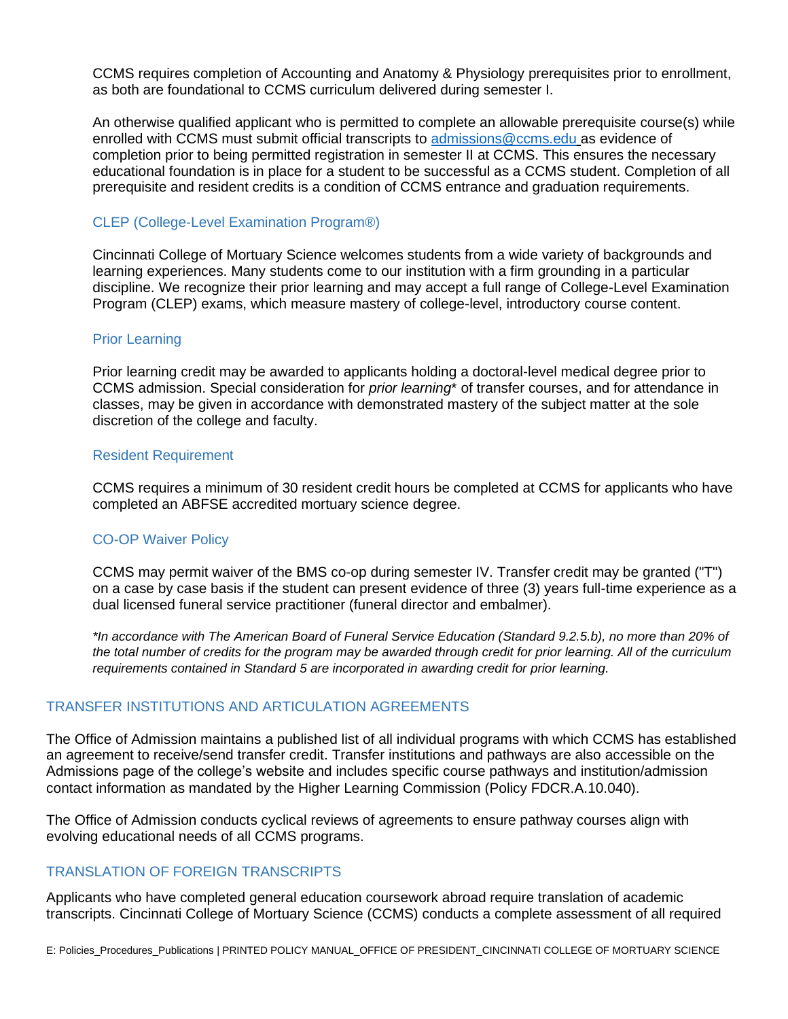CCMS requires completion of Accounting and Anatomy & Physiology prerequisites prior to enrollment, as both are foundational to CCMS curriculum delivered during semester I.

An otherwise qualified applicant who is permitted to complete an allowable prerequisite course(s) while enrolled with CCMS must submit official transcripts to [admissions@ccms.edu](mailto:admissions@ccms.edu) as evidence of completion prior to being permitted registration in semester II at CCMS. This ensures the necessary educational foundation is in place for a student to be successful as a CCMS student. Completion of all prerequisite and resident credits is a condition of CCMS entrance and graduation requirements.

## CLEP (College-Level Examination Program®)

Cincinnati College of Mortuary Science welcomes students from a wide variety of backgrounds and learning experiences. Many students come to our institution with a firm grounding in a particular discipline. We recognize their prior learning and may accept a full range of College-Level Examination Program (CLEP) exams, which measure mastery of college-level, introductory course content.

#### Prior Learning

Prior learning credit may be awarded to applicants holding a doctoral-level medical degree prior to CCMS admission. Special consideration for *prior learning*\* of transfer courses, and for attendance in classes, may be given in accordance with demonstrated mastery of the subject matter at the sole discretion of the college and faculty.

## Resident Requirement

CCMS requires a minimum of 30 resident credit hours be completed at CCMS for applicants who have completed an ABFSE accredited mortuary science degree.

#### CO-OP Waiver Policy

CCMS may permit waiver of the BMS co-op during semester IV. Transfer credit may be granted ("T") on a case by case basis if the student can present evidence of three (3) years full-time experience as a dual licensed funeral service practitioner (funeral director and embalmer).

*\*In accordance with The American Board of Funeral Service Education (Standard 9.2.5.b), no more than 20% of the total number of credits for the program may be awarded through credit for prior learning. All of the curriculum requirements contained in Standard 5 are incorporated in awarding credit for prior learning.*

## TRANSFER INSTITUTIONS AND ARTICULATION AGREEMENTS

The Office of Admission maintains a published list of all individual programs with which CCMS has established an agreement to receive/send transfer credit. Transfer institutions and pathways are also accessible on the Admissions page of the college's website and includes specific course pathways and institution/admission contact information as mandated by the Higher Learning Commission (Policy FDCR.A.10.040).

The Office of Admission conducts cyclical reviews of agreements to ensure pathway courses align with evolving educational needs of all CCMS programs.

# TRANSLATION OF FOREIGN TRANSCRIPTS

Applicants who have completed general education coursework abroad require translation of academic transcripts. Cincinnati College of Mortuary Science (CCMS) conducts a complete assessment of all required

E: Policies\_Procedures\_Publications | PRINTED POLICY MANUAL\_OFFICE OF PRESIDENT\_CINCINNATI COLLEGE OF MORTUARY SCIENCE